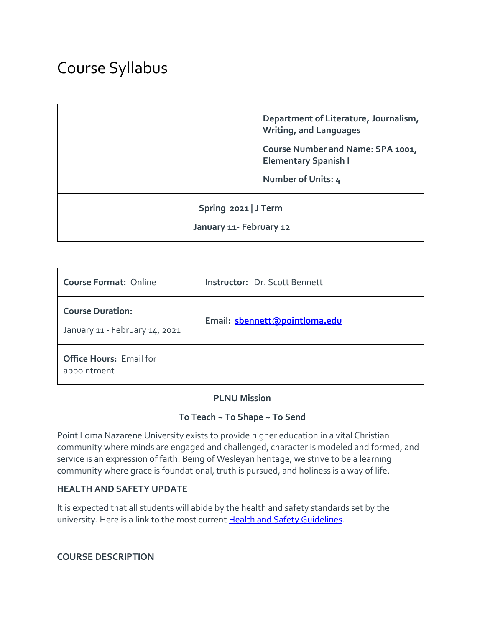# Course Syllabus

**Department of Literature, Journalism, Writing, and Languages**

**Course Number and Name: SPA 1001, Elementary Spanish I**

**Number of Units: 4**

#### **Spring 2021 | J Term**

#### **January 11- February 12**

| <b>Course Format: Online</b>                              | <b>Instructor: Dr. Scott Bennett</b> |  |  |
|-----------------------------------------------------------|--------------------------------------|--|--|
| <b>Course Duration:</b><br>January 11 - February 14, 2021 | Email: sbennett@pointloma.edu        |  |  |
| <b>Office Hours: Email for</b><br>appointment             |                                      |  |  |

#### **PLNU Mission**

#### **To Teach ~ To Shape ~ To Send**

Point Loma Nazarene University exists to provide higher education in a vital Christian community where minds are engaged and challenged, character is modeled and formed, and service is an expression of faith. Being of Wesleyan heritage, we strive to be a learning community where grace is foundational, truth is pursued, and holiness is a way of life.

#### **HEALTH AND SAFETY UPDATE**

It is expected that all students will abide by the health and safety standards set by the university. Here is a link to the most current [Health and Safety Guidelines.](https://www.pointloma.edu/coronavirus-covid-19-information/healthy-safe-community)

**COURSE DESCRIPTION**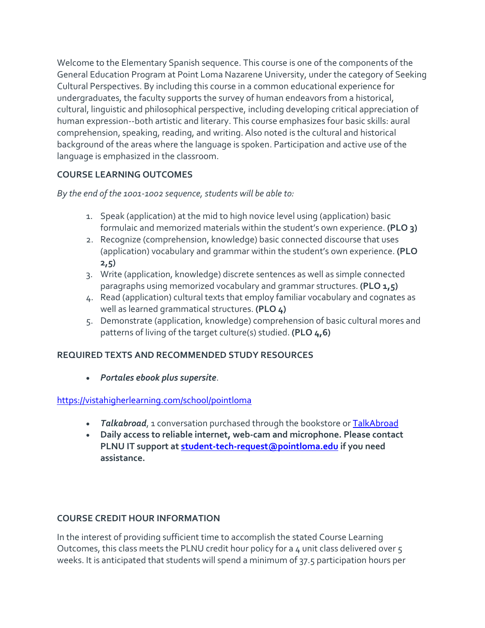Welcome to the Elementary Spanish sequence. This course is one of the components of the General Education Program at Point Loma Nazarene University, under the category of Seeking Cultural Perspectives. By including this course in a common educational experience for undergraduates, the faculty supports the survey of human endeavors from a historical, cultural, linguistic and philosophical perspective, including developing critical appreciation of human expression--both artistic and literary. This course emphasizes four basic skills: aural comprehension, speaking, reading, and writing. Also noted is the cultural and historical background of the areas where the language is spoken. Participation and active use of the language is emphasized in the classroom.

# **COURSE LEARNING OUTCOMES**

*By the end of the 1001-1002 sequence, students will be able to:*

- 1. Speak (application) at the mid to high novice level using (application) basic formulaic and memorized materials within the student's own experience. **(PLO 3)**
- 2. Recognize (comprehension, knowledge) basic connected discourse that uses (application) vocabulary and grammar within the student's own experience. **(PLO 2,5)**
- 3. Write (application, knowledge) discrete sentences as well as simple connected paragraphs using memorized vocabulary and grammar structures. **(PLO 1,5)**
- 4. Read (application) cultural texts that employ familiar vocabulary and cognates as well as learned grammatical structures. **(PLO 4)**
- 5. Demonstrate (application, knowledge) comprehension of basic cultural mores and patterns of living of the target culture(s) studied. **(PLO 4,6)**

# **REQUIRED TEXTS AND RECOMMENDED STUDY RESOURCES**

• *Portales ebook plus supersite*.

# <https://vistahigherlearning.com/school/pointloma>

- *Talkabroad*, 1 conversation purchased through the bookstore or [TalkAbroad](https://talkabroad.com/)
- **Daily access to reliable internet, web-cam and microphone. Please contact PLNU IT support at [student-tech-request@pointloma.edu](https://mail.google.com/mail/?view=cm&fs=1&tf=1&to=student-tech-request@pointloma.edu) if you need assistance.**

# **COURSE CREDIT HOUR INFORMATION**

In the interest of providing sufficient time to accomplish the stated Course Learning Outcomes, this class meets the PLNU credit hour policy for a 4 unit class delivered over 5 weeks. It is anticipated that students will spend a minimum of 37.5 participation hours per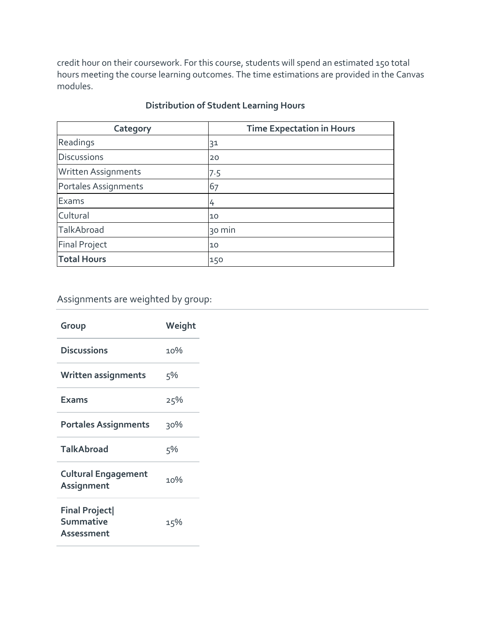credit hour on their coursework. For this course, students will spend an estimated 150 total hours meeting the course learning outcomes. The time estimations are provided in the Canvas modules.

| Category                   | <b>Time Expectation in Hours</b> |
|----------------------------|----------------------------------|
| Readings                   | 31                               |
| <b>Discussions</b>         | 20                               |
| <b>Written Assignments</b> | 7.5                              |
| Portales Assignments       | 67                               |
| Exams                      | 4                                |
| Cultural                   | 10                               |
| TalkAbroad                 | 30 min                           |
| <b>Final Project</b>       | 10                               |
| <b>Total Hours</b>         | 150                              |

# **Distribution of Student Learning Hours**

# Assignments are weighted by group:

| Group                                           | Weight |
|-------------------------------------------------|--------|
| <b>Discussions</b>                              | 10%    |
| Written assignments                             | 5%     |
| <b>Exams</b>                                    | 25%    |
| <b>Portales Assignments</b>                     | 30%    |
| <b>TalkAbroad</b>                               | 5%     |
| <b>Cultural Engagement</b><br>Assignment        | 10%    |
| <b>Final Project</b><br>Summative<br>Assessment | 15%    |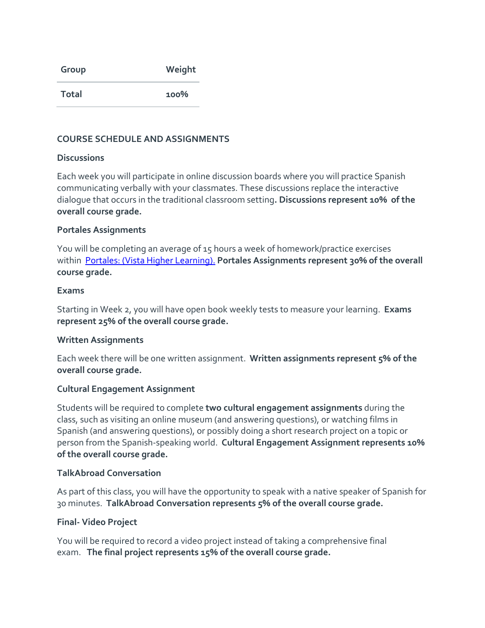| Group        | Weight  |  |  |
|--------------|---------|--|--|
| <b>Total</b> | $100\%$ |  |  |

#### **COURSE SCHEDULE AND ASSIGNMENTS**

#### **Discussions**

Each week you will participate in online discussion boards where you will practice Spanish communicating verbally with your classmates. These discussions replace the interactive dialogue that occurs in the traditional classroom setting**. Discussions represent 10% of the overall course grade.**

#### **Portales Assignments**

You will be completing an average of 15 hours a week of homework/practice exercises within [Portales: \(Vista Higher Learning\).](https://www.vhlcentral.com/) **Portales Assignments represent 30% of the overall course grade.**

#### **Exams**

Starting in Week 2, you will have open book weekly tests to measure your learning. **Exams represent 25% of the overall course grade.**

#### **Written Assignments**

Each week there will be one written assignment. **Written assignments represent 5% of the overall course grade.**

#### **Cultural Engagement Assignment**

Students will be required to complete **two cultural engagement assignments** during the class, such as visiting an online museum (and answering questions), or watching films in Spanish (and answering questions), or possibly doing a short research project on a topic or person from the Spanish-speaking world. **Cultural Engagement Assignment represents 10% of the overall course grade.**

#### **TalkAbroad Conversation**

As part of this class, you will have the opportunity to speak with a native speaker of Spanish for 30 minutes. **TalkAbroad Conversation represents 5% of the overall course grade.**

# **Final- Video Project**

You will be required to record a video project instead of taking a comprehensive final exam. **The final project represents 15% of the overall course grade.**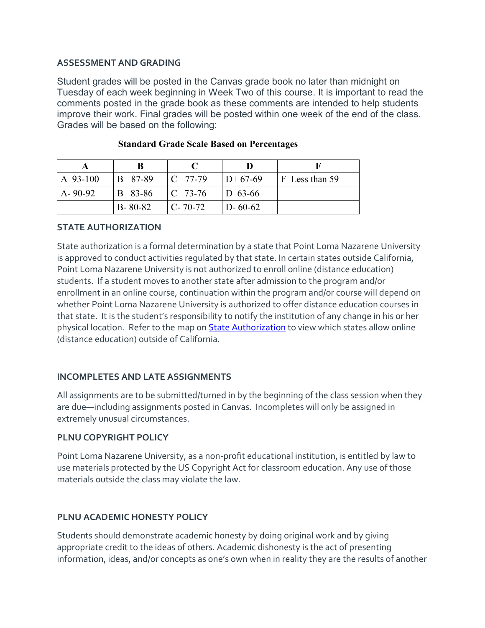#### **ASSESSMENT AND GRADING**

Student grades will be posted in the Canvas grade book no later than midnight on Tuesday of each week beginning in Week Two of this course. It is important to read the comments posted in the grade book as these comments are intended to help students improve their work. Final grades will be posted within one week of the end of the class. Grades will be based on the following:

| A 93-100      | $B+87-89$      | $C+77-79$        | $ID+67-69$    | F Less than 59 |
|---------------|----------------|------------------|---------------|----------------|
| $A - 90 - 92$ | <b>B</b> 83-86 | $\sqrt{C}$ 73-76 | $ D 63-66 $   |                |
|               | $B - 80 - 82$  | $C - 70 - 72$    | $D - 60 - 62$ |                |

#### **Standard Grade Scale Based on Percentages**

#### **STATE AUTHORIZATION**

State authorization is a formal determination by a state that Point Loma Nazarene University is approved to conduct activities regulated by that state. In certain states outside California, Point Loma Nazarene University is not authorized to enroll online (distance education) students. If a student moves to another state after admission to the program and/or enrollment in an online course, continuation within the program and/or course will depend on whether Point Loma Nazarene University is authorized to offer distance education courses in that state. It is the student's responsibility to notify the institution of any change in his or her physical location. Refer to the map on [State Authorization](https://www.pointloma.edu/offices/office-institutional-effectiveness-research/disclosures) to view which states allow online (distance education) outside of California.

# **INCOMPLETES AND LATE ASSIGNMENTS**

All assignments are to be submitted/turned in by the beginning of the class session when they are due—including assignments posted in Canvas. Incompletes will only be assigned in extremely unusual circumstances.

#### **PLNU COPYRIGHT POLICY**

Point Loma Nazarene University, as a non-profit educational institution, is entitled by law to use materials protected by the US Copyright Act for classroom education. Any use of those materials outside the class may violate the law.

# **PLNU ACADEMIC HONESTY POLICY**

Students should demonstrate academic honesty by doing original work and by giving appropriate credit to the ideas of others. Academic dishonesty is the act of presenting information, ideas, and/or concepts as one's own when in reality they are the results of another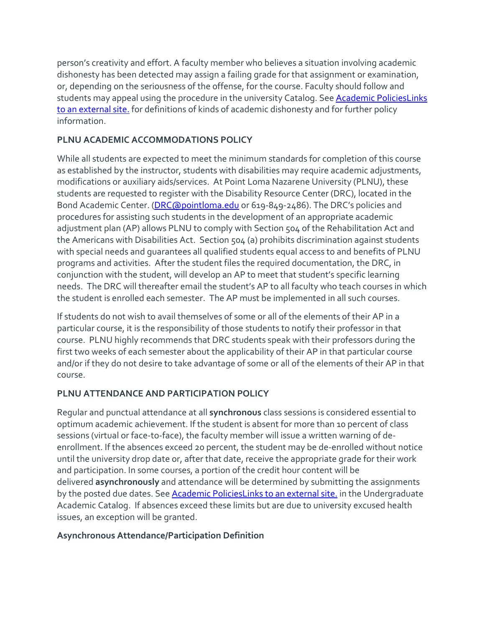person's creativity and effort. A faculty member who believes a situation involving academic dishonesty has been detected may assign a failing grade for that assignment or examination, or, depending on the seriousness of the offense, for the course. Faculty should follow and students may appeal using the procedure in the university Catalog. See [Academic PoliciesLinks](http://catalog.pointloma.edu/content.php?catoid=18&navoid=1278) to an [external](http://catalog.pointloma.edu/content.php?catoid=18&navoid=1278) site. for definitions of kinds of academic dishonesty and for further policy information.

# **PLNU ACADEMIC ACCOMMODATIONS POLICY**

While all students are expected to meet the minimum standards for completion of this course as established by the instructor, students with disabilities may require academic adjustments, modifications or auxiliary aids/services. At Point Loma Nazarene University (PLNU), these students are requested to register with the Disability Resource Center (DRC), located in the Bond Academic Center. [\(DRC@pointloma.edu](mailto:DRC@pointloma.edu) or 619-849-2486). The DRC's policies and procedures for assisting such students in the development of an appropriate academic adjustment plan (AP) allows PLNU to comply with Section 504 of the Rehabilitation Act and the Americans with Disabilities Act. Section 504 (a) prohibits discrimination against students with special needs and guarantees all qualified students equal access to and benefits of PLNU programs and activities. After the student files the required documentation, the DRC, in conjunction with the student, will develop an AP to meet that student's specific learning needs. The DRC will thereafter email the student's AP to all faculty who teach courses in which the student is enrolled each semester. The AP must be implemented in all such courses.

If students do not wish to avail themselves of some or all of the elements of their AP in a particular course, it is the responsibility of those students to notify their professor in that course. PLNU highly recommends that DRC students speak with their professors during the first two weeks of each semester about the applicability of their AP in that particular course and/or if they do not desire to take advantage of some or all of the elements of their AP in that course.

# **PLNU ATTENDANCE AND PARTICIPATION POLICY**

Regular and punctual attendance at all **synchronous** class sessions is considered essential to optimum academic achievement. If the student is absent for more than 10 percent of class sessions (virtual or face-to-face), the faculty member will issue a written warning of deenrollment. If the absences exceed 20 percent, the student may be de-enrolled without notice until the university drop date or, after that date, receive the appropriate grade for their work and participation. In some courses, a portion of the credit hour content will be delivered **asynchronously** and attendance will be determined by submitting the assignments by the posted due dates. See **[Academic PoliciesLinks](https://catalog.pointloma.edu/content.php?catoid=46&navoid=2650#Class_Attendance) to an external site**, in the Undergraduate Academic Catalog. If absences exceed these limits but are due to university excused health issues, an exception will be granted.

# **Asynchronous Attendance/Participation Definition**